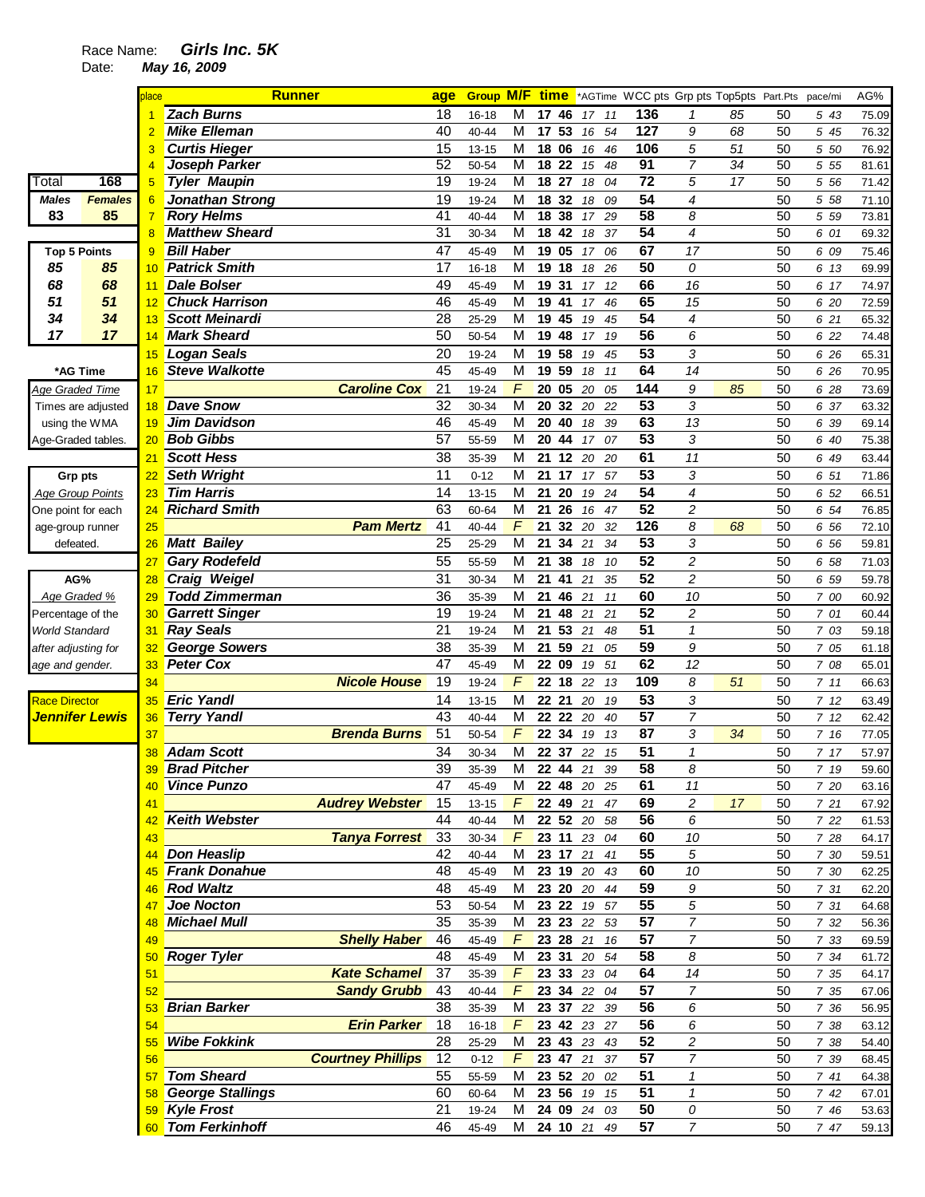## Race Name: **Girls Inc. 5K**

Date: **May 16, 2009** 

|                                        |                    | place          | <b>Runner</b>              |                          | age             |           |                         |                |                 |                |                 | <b>Group M/F time</b> *AGTime WCC pts Grp pts Top5pts Part.Pts |    |    | pace/mi | AG%                 |
|----------------------------------------|--------------------|----------------|----------------------------|--------------------------|-----------------|-----------|-------------------------|----------------|-----------------|----------------|-----------------|----------------------------------------------------------------|----|----|---------|---------------------|
|                                        |                    |                | <b>Zach Burns</b>          |                          | 18              | $16 - 18$ | м                       | 17 46          |                 | 11<br>17       | 136             | $\mathbf{1}$                                                   | 85 | 50 | 5 43    | 75.09               |
|                                        |                    | $\overline{2}$ | <b>Mike Elleman</b>        |                          | 40              | 40-44     | M                       | 17 53          |                 | 54<br>16       | 127             | 9                                                              | 68 | 50 | 5 45    | 76.32               |
|                                        |                    | 3              | <b>Curtis Hieger</b>       |                          | 15              | $13 - 15$ | M                       | 18 06          |                 | 46<br>16       | 106             | 5                                                              | 51 | 50 | 5 50    | 76.92               |
|                                        |                    | 4              | Joseph Parker              |                          | 52              | 50-54     | M                       | 18 22          |                 | 15<br>48       | 91              | 7                                                              | 34 | 50 | 5 5 5   | 81.61               |
| Total                                  | 168                | 5              | <b>Tyler Maupin</b>        |                          | 19              | 19-24     | M                       | 18             | 27              | 18<br>04       | $\overline{72}$ | 5                                                              | 17 | 50 | 5 56    | $\overline{7}$ 1.42 |
| Males                                  | <b>Females</b>     | 6              | <b>Jonathan Strong</b>     |                          | 19              | 19-24     | M                       | 18 32          |                 | 18<br>09       | $\overline{54}$ | 4                                                              |    | 50 | 5 58    | 71.10               |
| 83                                     | 85                 | $\overline{7}$ | <b>Rory Helms</b>          |                          | 41              | 40-44     | $\overline{M}$          | 18             | $\overline{38}$ | 17<br>29       | 58              | 8                                                              |    | 50 | 5 59    | 73.81               |
|                                        |                    | $\overline{8}$ | <b>Matthew Sheard</b>      |                          | 31              | 30-34     | M                       | 18             | 42              | 37<br>18       | 54              | 4                                                              |    | 50 | 6 01    | 69.32               |
| <b>Top 5 Points</b>                    |                    | 9              | <b>Bill Haber</b>          |                          | 47              | 45-49     | M                       | 19 05          |                 | 06<br>17       | 67              | 17                                                             |    | 50 | 6 09    | 75.46               |
| 85                                     | 85                 | 10             | <b>Patrick Smith</b>       |                          | 17              | $16 - 18$ | M                       | 19             | 18              | 18<br>26       | $\overline{50}$ | 0                                                              |    | 50 | 6 13    | 69.99               |
| 68                                     | 68                 | 11             | <b>Dale Bolser</b>         |                          | 49              | 45-49     | M                       | 19             | 31              | 17<br>12       | 66              | 16                                                             |    | 50 | 6 17    | 74.97               |
| 51                                     | 51                 | 12             | <b>Chuck Harrison</b>      |                          | 46              | 45-49     | M                       | 19 41          |                 | 46<br>17       | 65              | 15                                                             |    | 50 | 6 20    | 72.59               |
| 34                                     | 34                 | 13             | <b>Scott Meinardi</b>      |                          | 28              | 25-29     | M                       | 19 45          |                 | 45<br>19       | 54              | 4                                                              |    | 50 | 6 21    | 65.32               |
| 17                                     | 17                 | 14             | <b>Mark Sheard</b>         |                          | 50              | 50-54     | M                       | 19 48          |                 | 19<br>17       | 56              | 6                                                              |    | 50 | 6 22    | 74.48               |
|                                        |                    |                | <b>Logan Seals</b>         |                          | 20              |           | M                       | 19 58          |                 |                | 53              | 3                                                              |    | 50 |         |                     |
|                                        |                    | 15             | <b>Steve Walkotte</b>      |                          | 45              | 19-24     | $\overline{M}$          | 19 59          |                 | 45<br>19<br>11 | 64              | 14                                                             |    | 50 | 6 26    | 65.31               |
| *AG Time                               |                    | 16             |                            |                          |                 | 45-49     |                         |                |                 | 18             |                 |                                                                |    |    | 6 26    | 70.95               |
| Age Graded Time                        |                    | 17             |                            | <b>Caroline Cox</b>      | 21              | 19-24     | F                       | 20 05          |                 | 20<br>05       | 144             | 9                                                              | 85 | 50 | 6 28    | 73.69               |
|                                        | Times are adjusted | 18             | <b>Dave Snow</b>           |                          | 32              | 30-34     | M                       | 20             | 32              | 20<br>22       | 53              | 3                                                              |    | 50 | 6 37    | 63.32               |
| using the WMA                          |                    | 19             | <b>Jim Davidson</b>        |                          | 46              | 45-49     | M                       | 20             | 40              | 18<br>39       | 63              | 13                                                             |    | 50 | 6 39    | 69.14               |
| Age-Graded tables                      |                    | 20             | <b>Bob Gibbs</b>           |                          | 57              | 55-59     | M                       | 20             | 44              | 07<br>17       | 53              | 3                                                              |    | 50 | 6 40    | 75.38               |
|                                        |                    | 21             | <b>Scott Hess</b>          |                          | 38              | 35-39     | $\overline{\mathsf{M}}$ | 21 12          |                 | 20<br>20       | 61              | 11                                                             |    | 50 | 6 49    | 63.44               |
| <b>Grp pts</b>                         |                    | 22             | <b>Seth Wright</b>         |                          | 11              | $0 - 12$  | M                       | 21             | 17              | 17<br>57       | 53              | 3                                                              |    | 50 | 6 51    | 71.86               |
| <b>Age Group Points</b>                |                    | 23             | <b>Tim Harris</b>          |                          | 14              | $13 - 15$ | M                       | 21             | 20              | 24<br>19       | 54              | 4                                                              |    | 50 | 6 52    | 66.51               |
| One point for each                     |                    | 24             | <b>Richard Smith</b>       |                          | 63              | 60-64     | M                       | 21 26          |                 | 16<br>47       | 52              | $\overline{c}$                                                 |    | 50 | 6 54    | 76.85               |
| age-group runner                       |                    | 25             |                            | <b>Pam Mertz</b>         | 41              | 40-44     | F                       | 21             | 32              | 20<br>32       | 126             | 8                                                              | 68 | 50 | 6 56    | 72.10               |
| defeated.                              |                    | 26             | <b>Matt Bailey</b>         |                          | 25              | 25-29     | M                       | 21             | 34              | 21<br>34       | $\overline{53}$ | 3                                                              |    | 50 | 6 56    | 59.81               |
|                                        |                    | 27             | <b>Gary Rodefeld</b>       |                          | $\overline{55}$ | 55-59     | $\overline{M}$          | 21             | 38              | 18<br>10       | 52              | $\overline{c}$                                                 |    | 50 | 6 58    | 71.03               |
| AG%                                    |                    | 28             | <b>Craig Weigel</b>        |                          | 31              | 30-34     | M                       | 21             | 41              | 21<br>35       | 52              | $\overline{c}$                                                 |    | 50 | 6 59    | 59.78               |
| Age Graded %                           |                    | 29             | <b>Todd Zimmerman</b>      |                          | 36              | 35-39     | M                       | 21             | 46              | 21<br>11       | 60              | 10                                                             |    | 50 | 7 00    | 60.92               |
| Percentage of the                      |                    | 30             | <b>Garrett Singer</b>      |                          | 19              | 19-24     | M                       | 21             | 48              | 21<br>21       | 52              | $\overline{c}$                                                 |    | 50 | 7 01    | 60.44               |
| World Standard                         |                    | 31             | <b>Ray Seals</b>           |                          | 21              | 19-24     | M                       | 21             | 53              | 21<br>48       | 51              | $\mathbf{1}$                                                   |    | 50 | 7 03    | 59.18               |
| after adjusting for                    |                    | 32             | <b>George Sowers</b>       |                          | 38              | 35-39     | M                       | 21             | 59              | 21<br>05       | 59              | 9                                                              |    | 50 | 7 05    | 61.18               |
| age and gender.                        |                    | 33             | <b>Peter Cox</b>           |                          | 47              | 45-49     | M                       | 22 09          |                 | 51<br>19       | 62              | 12                                                             |    | 50 | 7 08    | 65.01               |
|                                        |                    | 34             |                            | <b>Nicole House</b>      | 19              | 19-24     | F                       | 22 18          |                 | 22<br>13       | 109             | 8                                                              | 51 | 50 | 7 11    | 66.63               |
|                                        |                    |                | <b>Eric Yandl</b>          |                          | 14              |           | M                       | 22 21          |                 | 19             | 53              |                                                                |    | 50 |         |                     |
| <b>Race Director</b><br>Jennifer Lewis |                    | 35             | <b>Terry Yandl</b>         |                          | 43              | $13 - 15$ | M                       |                |                 | 20             | 57              | 3<br>$\overline{7}$                                            |    | 50 | 712     | 63.49               |
|                                        |                    | 36             |                            | <b>Brenda Burns</b>      | 51              | 40-44     | F                       | 22 22<br>22 34 |                 | 20<br>40       | 87              | 3                                                              | 34 | 50 | 712     | 62.42               |
|                                        |                    | 37             |                            |                          |                 | 50-54     |                         |                |                 | 19<br>13       |                 |                                                                |    |    | 7 16    | 77.05               |
|                                        |                    | 38             | <b>Adam Scott</b>          |                          | 34              | 30-34     | M                       |                | 22 37 22        | 15             | 51              | $\mathbf{1}$                                                   |    | 50 | 7 17    | 57.97               |
|                                        |                    |                | 39 Brad Pitcher            |                          | 39              | 35-39     | $\overline{M}$          |                |                 | 22 44 21 39    | 58              | 8                                                              |    | 50 | 7 19    | 59.60               |
|                                        |                    | 40             | <b>Vince Punzo</b>         |                          | 47              | 45-49     | М                       |                |                 | 22 48 20 25    | 61              | 11                                                             |    | 50 | 7 20    | 63.16               |
|                                        |                    | 41             |                            | <b>Audrey Webster</b>    | 15              | $13 - 15$ | $\overline{F}$          |                | $22$ 49 21      | 47             | 69              | $\overline{c}$                                                 | 17 | 50 | 721     | 67.92               |
|                                        |                    | 42             | <b>Keith Webster</b>       |                          | 44              | 40-44     | M                       |                |                 | 22 52 20 58    | 56              | 6                                                              |    | 50 | 7 22    | 61.53               |
|                                        |                    | 43             |                            | <b>Tanya Forrest</b>     | 33              | 30-34     | $\digamma$              |                |                 | 23 11 23 04    | 60              | 10                                                             |    | 50 | 7 28    | 64.17               |
|                                        |                    | 44             | <b>Don Heaslip</b>         |                          | 42              | 40-44     | М                       |                |                 | 23 17 21 41    | 55              | $\sqrt{5}$                                                     |    | 50 | 7 30    | 59.51               |
|                                        |                    | 45             | <b>Frank Donahue</b>       |                          | 48              | 45-49     | М                       |                |                 | 23 19 20 43    | 60              | 10                                                             |    | 50 | 7 30    | 62.25               |
|                                        |                    | 46             | <b>Rod Waltz</b>           |                          | 48              | 45-49     | M                       |                |                 | 23 20 20 44    | 59              | 9                                                              |    | 50 | 7 31    | 62.20               |
|                                        |                    | 47             | Joe Nocton                 |                          | 53              | 50-54     | M                       |                |                 | 23 22 19 57    | 55              | 5                                                              |    | 50 | 7 31    | 64.68               |
|                                        |                    | 48             | <b>Michael Mull</b>        |                          | 35              | 35-39     | M                       |                |                 | 23 23 22 53    | 57              | $\overline{7}$                                                 |    | 50 | 7 32    | 56.36               |
|                                        |                    | 49             |                            | <b>Shelly Haber</b>      | 46              | 45-49     | $\digamma$              |                | 23 28 21        | 16             | 57              | 7                                                              |    | 50 | 7 33    | 69.59               |
|                                        |                    | 50             | <b>Roger Tyler</b>         |                          | 48              | 45-49     | М                       | 23 31          |                 | 20<br>54       | 58              | 8                                                              |    | 50 | 7 34    | 61.72               |
|                                        |                    | 51             |                            | <b>Kate Schamel</b>      | 37              | 35-39     | $\digamma$              |                | 23 33 23        | 04             | 64              | 14                                                             |    | 50 | 7 35    | 64.17               |
|                                        |                    | 52             |                            | <b>Sandy Grubb</b>       | 43              | 40-44     | F                       |                | 23 34 22        | 04             | 57              | 7                                                              |    | 50 | 7 35    | 67.06               |
|                                        |                    | 53             | <b>Brian Barker</b>        |                          | 38              | 35-39     | M                       |                |                 | 23 37 22 39    | 56              | 6                                                              |    | 50 | 7 36    | 56.95               |
|                                        |                    | 54             |                            | <b>Erin Parker</b>       | 18              | 16-18     | $\digamma$              |                |                 | 23 42 23 27    | 56              | 6                                                              |    | 50 | 7 38    | 63.12               |
|                                        |                    | 55             | <b>Wibe Fokkink</b>        |                          | 28              | 25-29     | M                       |                |                 | 23 43 23 43    | 52              | $\overline{c}$                                                 |    | 50 | 7 38    | 54.40               |
|                                        |                    | 56             |                            | <b>Courtney Phillips</b> | 12              | $0 - 12$  | $\digamma$              |                | 23 47 21        | 37             | 57              | 7                                                              |    | 50 | 7 39    | 68.45               |
|                                        |                    | 57             | <b>Tom Sheard</b>          |                          | 55              | 55-59     | M                       |                | 23 52 20        | 02             | 51              | $\mathbf{1}$                                                   |    | 50 | 741     | 64.38               |
|                                        |                    |                | <b>58 George Stallings</b> |                          | 60              | 60-64     | М                       |                |                 | 23 56 19 15    | 51              | $\mathbf{1}$                                                   |    | 50 | 7 42    | 67.01               |
|                                        |                    |                | 59 Kyle Frost              |                          | 21              | 19-24     | М                       |                | 24 09 24        | 03             | 50              | 0                                                              |    | 50 | 7 46    | 53.63               |
|                                        |                    |                | 60 Tom Ferkinhoff          |                          | 46              | 45-49     | М                       |                |                 | 24 10 21 49    | 57              | $\overline{7}$                                                 |    | 50 | 7 47    | 59.13               |
|                                        |                    |                |                            |                          |                 |           |                         |                |                 |                |                 |                                                                |    |    |         |                     |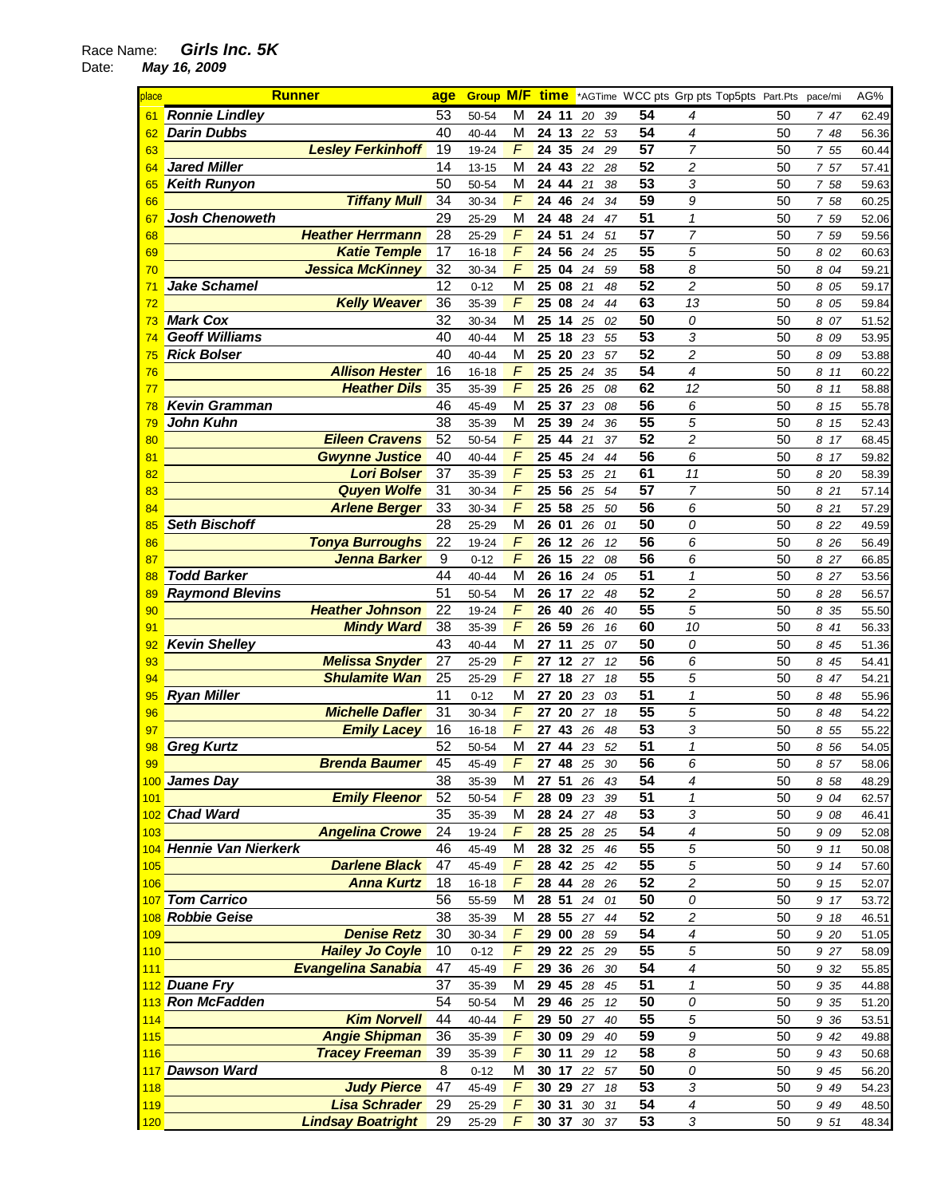## Race Name: **Girls Inc. 5K**

Date: **May 16, 2009** 

| place | <b>Runner</b>           |                           | age             | <b>Group M/F</b> |                | <u>time</u>        |       |    |                 | *AGTime WCC pts Grp pts Top5pts Part.Pts |    | pace/mi | AG%   |
|-------|-------------------------|---------------------------|-----------------|------------------|----------------|--------------------|-------|----|-----------------|------------------------------------------|----|---------|-------|
| 61    | <b>Ronnie Lindley</b>   |                           | 53              | 50-54            | M              | 11<br>24           | 20    | 39 | 54              | 4                                        | 50 | 747     | 62.49 |
| 62    | <b>Darin Dubbs</b>      |                           | 40              | 40-44            | M              | 24<br>13           | 22    | 53 | 54              | 4                                        | 50 | 7 48    | 56.36 |
| 63    |                         | <b>Lesley Ferkinhoff</b>  | 19              | 19-24            | F              | 35<br>24           | 24    | 29 | 57              | $\overline{7}$                           | 50 | 7 55    | 60.44 |
| 64    | <b>Jared Miller</b>     |                           | 14              | 13-15            | M              | 24<br>43           | 22    | 28 | 52              | 2                                        | 50 | 757     | 57.41 |
| 65    | <b>Keith Runyon</b>     |                           | 50              | 50-54            | M              | 44<br>24           | 21    | 38 | 53              | 3                                        | 50 | 7 58    | 59.63 |
| 66    |                         | <b>Tiffany Mull</b>       | 34              | 30-34            | $\overline{F}$ | 46<br>24           | 24    | 34 | 59              | 9                                        | 50 | 7 58    | 60.25 |
| 67    | <b>Josh Chenoweth</b>   |                           | 29              | 25-29            | M              | 24<br>48           | 24    | 47 | 51              | $\mathcal I$                             | 50 | 7 59    | 52.06 |
| 68    |                         | <b>Heather Herrmann</b>   | 28              | $25 - 29$        | F              | 24<br>51           | 24    | 51 | $\overline{57}$ | 7                                        | 50 | 7 59    | 59.56 |
| 69    |                         | <b>Katie Temple</b>       | 17              | $16 - 18$        | F              | 56<br>24           | 24    | 25 | 55              | 5                                        | 50 | 8 02    | 60.63 |
| 70    |                         | <b>Jessica McKinney</b>   | 32              | 30-34            | F              | 25<br>04           | 24    | 59 | $\overline{58}$ | 8                                        | 50 | 8 04    | 59.21 |
| 71    | Jake Schamel            |                           | $\overline{12}$ | $0 - 12$         | M              | 25<br>08           | 21    | 48 | $\overline{52}$ | $\overline{c}$                           | 50 | 8 05    | 59.17 |
| 72    |                         | <b>Kelly Weaver</b>       | 36              | 35-39            | F              | 25<br>08           | 24    | 44 | 63              | 13                                       | 50 | 8 05    | 59.84 |
| 73    | <b>Mark Cox</b>         |                           | 32              | 30-34            | M              | 25<br>$\boxed{14}$ | 25    | 02 | 50              | 0                                        | 50 | 8 07    | 51.52 |
| 74    | <b>Geoff Williams</b>   |                           | 40              | 40-44            | M              | 25<br>18           | 23    | 55 | 53              | 3                                        | 50 | 8 09    | 53.95 |
| 75    | <b>Rick Bolser</b>      |                           | 40              | 40-44            | M              | 20<br>25           | 23    | 57 | 52              | 2                                        | 50 | 8 09    | 53.88 |
| 76    |                         | <b>Allison Hester</b>     | 16              | $16 - 18$        | F              | 25<br>25           | 24    | 35 | 54              | 4                                        | 50 | 8 11    | 60.22 |
| 77    |                         | <b>Heather Dils</b>       | 35              | 35-39            | F              | 25<br>26           | 25    | 08 | 62              | 12                                       | 50 | 8 11    | 58.88 |
| 78    | <b>Kevin Gramman</b>    |                           | 46              | 45-49            | M              | 25<br>37           | 23    | 08 | 56              | 6                                        | 50 | 8 15    | 55.78 |
| 79    | John Kuhn               |                           | 38              | 35-39            | M              | 25<br>39           | 24    | 36 | 55              | 5                                        | 50 | 8 15    | 52.43 |
| 80    |                         | <b>Eileen Cravens</b>     | 52              | 50-54            | F              | 25<br>44           | 21    | 37 | 52              | $\overline{c}$                           | 50 | 8 17    | 68.45 |
| 81    |                         | <b>Gwynne Justice</b>     | 40              | 40-44            | F              | 25<br>45           | 24    | 44 | 56              | 6                                        | 50 | 8<br>17 | 59.82 |
| 82    |                         | <b>Lori Bolser</b>        | 37              | 35-39            | F              | 25<br>53           | 25    | 21 | 61              | 11                                       | 50 | 8 20    | 58.39 |
| 83    |                         | <b>Quyen Wolfe</b>        | 31              | 30-34            | F              | 56<br>25           | 25    | 54 | 57              | $\overline{7}$                           | 50 | 8 21    | 57.14 |
| 84    |                         | <b>Arlene Berger</b>      | 33              | 30-34            | F              | 58<br>25           | 25    | 50 | 56              | 6                                        | 50 | 8 21    | 57.29 |
| 85    | <b>Seth Bischoff</b>    |                           | 28              | 25-29            | M              | 01<br>26           | 26    | 01 | 50              | 0                                        | 50 | 8 22    | 49.59 |
| 86    |                         | <b>Tonya Burroughs</b>    | 22              | 19-24            | F              | 26<br>12           | 26    | 12 | 56              | 6                                        | 50 | 8 26    | 56.49 |
| 87    |                         | Jenna Barker              | 9               | $0 - 12$         | F              | 26<br>15           | 22    | 08 | 56              | 6                                        | 50 | 8 27    | 66.85 |
| 88    | <b>Todd Barker</b>      |                           | 44              | 40-44            | M              | 26<br>16           | 24    | 05 | 51              | $\mathbf{1}$                             | 50 | 8 27    | 53.56 |
| 89    | <b>Raymond Blevins</b>  |                           | 51              | 50-54            | M              | 26<br>17           | 22    | 48 | 52              | 2                                        | 50 | 8 28    | 56.57 |
| 90    |                         | <b>Heather Johnson</b>    | 22              | 19-24            | F              | 26<br>40           | 26    | 40 | 55              | 5                                        | 50 | 35<br>8 | 55.50 |
| 91    |                         | <b>Mindy Ward</b>         | 38              | 35-39            | $\overline{F}$ | 26<br>59           | 26    | 16 | 60              | 10                                       | 50 | 41<br>8 | 56.33 |
| 92    | <b>Kevin Shelley</b>    |                           | 43              | 40-44            | M              | 11<br>27           | 25    | 07 | 50              | 0                                        | 50 | 8 45    | 51.36 |
| 93    |                         | <b>Melissa Snyder</b>     | 27              | $25 - 29$        | F              | 12<br>27           | 27    | 12 | 56              | 6                                        | 50 | 8 45    | 54.41 |
| 94    |                         | <b>Shulamite Wan</b>      | 25              | 25-29            | F              | 18<br>27           | 27    | 18 | 55              | 5                                        | 50 | 8<br>47 | 54.21 |
| 95    | <b>Ryan Miller</b>      |                           | 11              | $0 - 12$         | M              | 27<br>20           | 23    | 03 | 51              | 1                                        | 50 | 8<br>48 | 55.96 |
| 96    |                         | <b>Michelle Dafler</b>    | 31              | 30-34            | F              | 20<br>27           | 27    | 18 | 55              | 5                                        | 50 | 8 48    | 54.22 |
| 97    |                         | <b>Emily Lacey</b>        | 16              | $16 - 18$        | F              | 27<br>43           | 26    | 48 | $\overline{53}$ | 3                                        | 50 | 8 55    | 55.22 |
| 98    | <b>Greg Kurtz</b>       |                           | 52              | 50-54            | M              | 27 44              | 23    | 52 | 51              | $\mathbf{1}$                             | 50 | 8 56    | 54.05 |
| 99    |                         | <b>Brenda Baumer</b>      | 45              | 45-49            | $\overline{F}$ | 27 48 25 30        |       |    | 56              | 6                                        | 50 | 8 57    | 58.06 |
|       | 100 James Day           |                           | 38              | 35-39            | M              | 27 51 26 43        |       |    | 54              | 4                                        | 50 | 8 58    | 48.29 |
| 101   |                         | <b>Emily Fleenor</b>      | 52              | 50-54            | F              | 28 09              | 23    | 39 | 51              | 1                                        | 50 | 9 04    | 62.57 |
|       | 102 Chad Ward           |                           | 35              | 35-39            | М              | 28 24 27 48        |       |    | 53              | 3                                        | 50 | 9 08    | 46.41 |
| 103   |                         | <b>Angelina Crowe</b>     | 24              | 19-24            | F              | 28 25 28 25        |       |    | 54              | 4                                        | 50 | 9 09    | 52.08 |
|       | 104 Hennie Van Nierkerk |                           | 46              | 45-49            | М              | 28 32 25 46        |       |    | 55              | 5                                        | 50 | 9 11    | 50.08 |
| 105   |                         | <b>Darlene Black</b>      | 47              | 45-49            | F              | 28 42 25           |       | 42 | 55              | 5                                        | 50 | 9 14    | 57.60 |
| 106   |                         | <b>Anna Kurtz</b>         | 18              | $16 - 18$        | F              | 28 44              | 28 26 |    | 52              | 2                                        | 50 | 9 15    | 52.07 |
| 107   | <b>Tom Carrico</b>      |                           | 56              | 55-59            | M              | 28 51              | 24    | 01 | 50              | 0                                        | 50 | 9 17    | 53.72 |
|       | 108 Robbie Geise        |                           | 38              | 35-39            | M              | 28 55              | 27    | 44 | 52              | 2                                        | 50 | 9 18    | 46.51 |
| 109   |                         | <b>Denise Retz</b>        | 30              | 30-34            | $\digamma$     | $\bf{00}$<br>29    | 28    | 59 | 54              | $\boldsymbol{4}$                         | 50 | 9 20    | 51.05 |
| 110   |                         | <b>Hailey Jo Coyle</b>    | 10              | $0 - 12$         | F              | 22<br>29           | 25 29 |    | 55              | 5                                        | 50 | 9 27    | 58.09 |
| 111   |                         | <b>Evangelina Sanabia</b> | 47              | 45-49            | F              | 36<br>29           | 26    | 30 | 54              | 4                                        | 50 | 9 32    | 55.85 |
|       | 112 Duane Fry           |                           | 37              | 35-39            | М              | 29 45 28           |       | 45 | 51              | 1                                        | 50 | 9 35    | 44.88 |
|       | 113 Ron McFadden        |                           | 54              | 50-54            | M              | 46<br>29           | 25    | 12 | 50              | 0                                        | 50 | 9 35    | 51.20 |
| 114   |                         | <b>Kim Norvell</b>        | 44              | 40-44            | F              | 29<br>50           | 27    | 40 | 55              | 5                                        | 50 | 9 36    | 53.51 |
| 115   |                         | <b>Angie Shipman</b>      | 36              | 35-39            | F              | 30 09              | 29    | 40 | 59              | 9                                        | 50 | 9 42    | 49.88 |
| 116   |                         | <b>Tracey Freeman</b>     | 39              | 35-39            | $\overline{F}$ | 30 11              | 29    | 12 | 58              | 8                                        | 50 | 9 43    | 50.68 |
|       | 117 Dawson Ward         |                           | 8               | $0 - 12$         | M              | 30 17              | 22    | 57 | 50              | 0                                        | 50 | 9 45    | 56.20 |
| 118   |                         | <b>Judy Pierce</b>        | 47              | 45-49            | F              | 29<br>30           | 27    | 18 | 53              | 3                                        | 50 | 9 4 9   | 54.23 |
| 119   |                         | <b>Lisa Schrader</b>      | 29              | 25-29            | F              | 30 31              | 30 31 |    | 54              | $\overline{4}$                           | 50 | 9 4 9   | 48.50 |
| 120   |                         | <b>Lindsay Boatright</b>  | 29              | 25-29            | F              | 30 37 30 37        |       |    | 53              | $\overline{3}$                           | 50 | 9 51    | 48.34 |
|       |                         |                           |                 |                  |                |                    |       |    |                 |                                          |    |         |       |